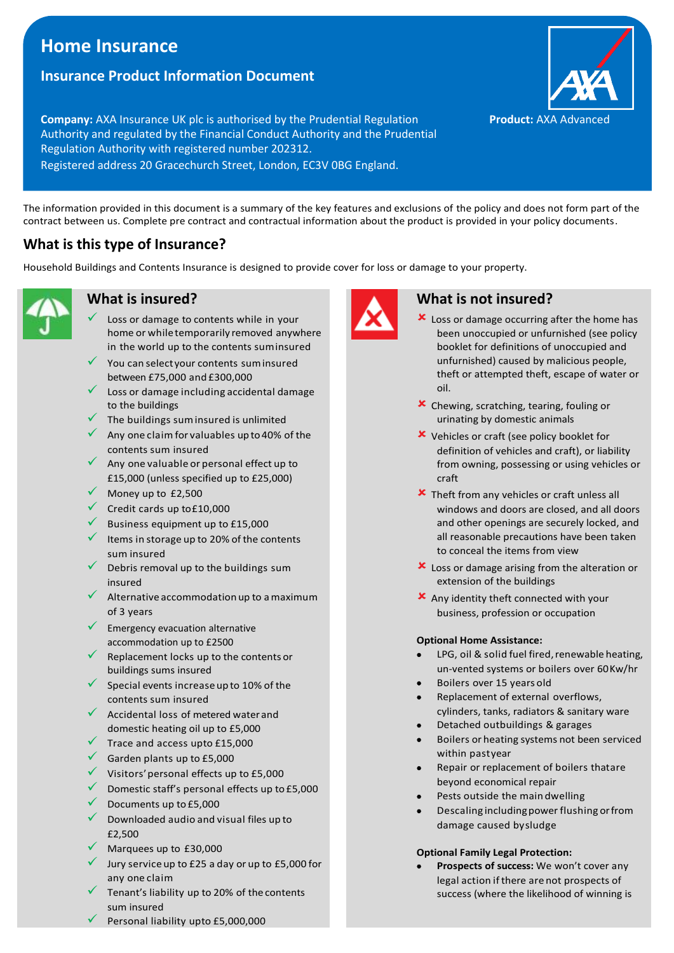# **Home Insurance**

# **Insurance Product Information Document**

**Company:** AXA Insurance UK plc is authorised by the Prudential Regulation Authority and regulated by the Financial Conduct Authority and the Prudential Regulation Authority with registered number 202312. Registered address 20 Gracechurch Street, London, EC3V 0BG England.

The information provided in this document is a summary of the key features and exclusions of the policy and does not form part of the contract between us. Complete pre contract and contractual information about the product is provided in your policy documents.

# **What is this type of Insurance?**

Household Buildings and Contents Insurance is designed to provide cover for loss or damage to your property.



## **What is insured?**

- Loss or damage to contents while in your home or whiletemporarily removed anywhere in the world up to the contents suminsured
- You can select your contents sum insured between £75,000 and £300,000
- Loss or damage including accidental damage to the buildings
- The buildings sum insured is unlimited
- $\checkmark$  Any one claim for valuables up to 40% of the contents sum insured
- $\checkmark$  Any one valuable or personal effect up to £15,000 (unless specified up to £25,000)
- Money up to £2,500
- ✓ Credit cards up to£10,000
- Business equipment up to £15,000
- Items in storage up to 20% of the contents sum insured
- $\checkmark$  Debris removal up to the buildings sum insured
- Alternative accommodation up to a maximum of 3 years
- Emergency evacuation alternative accommodation up to £2500
- Replacement locks up to the contents or buildings sums insured
- Special events increase up to 10% of the contents sum insured
- $\checkmark$  Accidental loss of metered water and domestic heating oil up to £5,000
- $\checkmark$  Trace and access upto £15,000
- $\checkmark$  Garden plants up to £5,000
- ✓ Visitors'personal effects up to £5,000
- $\checkmark$  Domestic staff's personal effects up to £5,000
- Documents up to £5,000
- ✓ Downloaded audio and visual files up to £2,500
- Marquees up to £30,000
- Jury service up to £25 a day or up to £5,000 for any one claim
- Tenant's liability up to 20% of the contents sum insured
- Personal liability upto £5,000,000



### **What is not insured?**

- **x** Loss or damage occurring after the home has been unoccupied or unfurnished (see policy booklet for definitions of unoccupied and unfurnished) caused by malicious people, theft or attempted theft, escape of water or oil.
- Chewing, scratching, tearing, fouling or urinating by domestic animals
- Vehicles or craft (see policy booklet for definition of vehicles and craft), or liability from owning, possessing or using vehicles or craft
- **x** Theft from any vehicles or craft unless all windows and doors are closed, and all doors and other openings are securely locked, and all reasonable precautions have been taken to conceal the items from view
- **X** Loss or damage arising from the alteration or extension of the buildings
- Any identity theft connected with your business, profession or occupation

#### **Optional Home Assistance:**

- LPG, oil & solid fuel fired, renewable heating, un-vented systems or boilers over 60Kw/hr
- Boilers over 15 years old
- Replacement of external overflows, cylinders, tanks, radiators & sanitary ware
- Detached outbuildings & garages
- Boilers or heating systems not been serviced within pastyear
- Repair or replacement of boilers thatare beyond economical repair
- Pests outside the maindwelling
- Descaling includingpowerflushing orfrom damage caused bysludge

#### **Optional Family Legal Protection:**

• **Prospects of success:** We won't cover any legal action if there are not prospects of success (where the likelihood of winning is

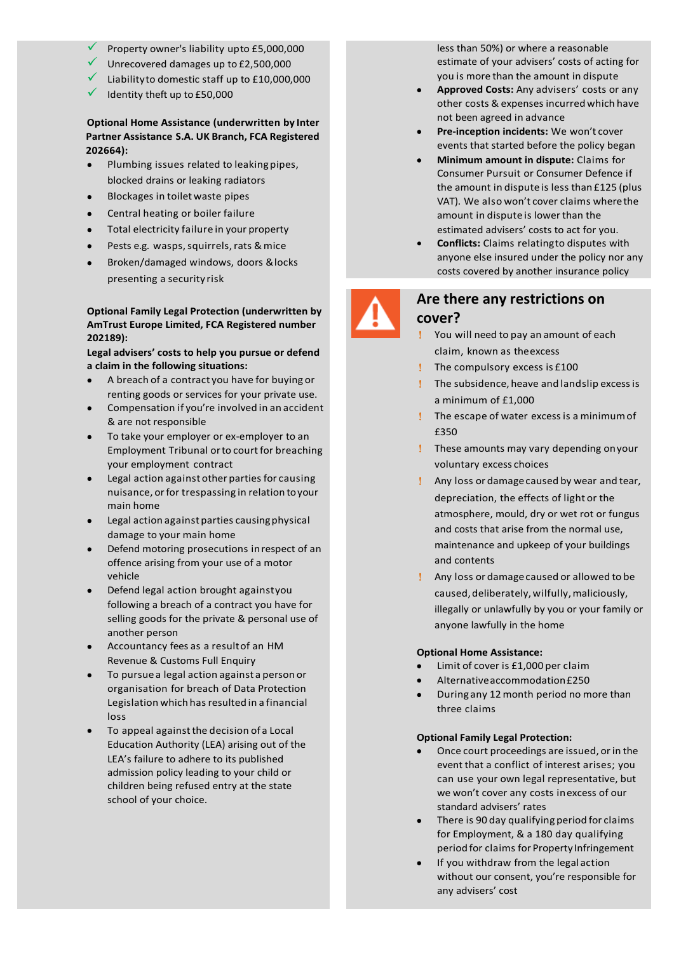- Property owner's liability upto £5,000,000
- Unrecovered damages up to £2,500,000
- Liabilityto domestic staff up to £10,000,000
- Identity theft up to £50,000

#### **number 202664): Optional Home Assistance (underwritten by Inter Partner Assistance S.A. UK Branch, FCA Registered**

- Plumbing issues related to leakingpipes, blocked drains or leaking radiators
- Blockages in toiletwaste pipes
- Central heating or boiler failure
- Total electricity failure in your property
- Pests e.g. wasps, squirrels, rats & mice
- Broken/damaged windows, doors &locks presenting a security risk

#### **Optional Family Legal Protection (underwritten by AmTrust Europe Limited, FCA Registered number 202189):**

**Legal advisers' costs to help you pursue or defend a claim in the following situations:**

- A breach of a contract you have for buying or renting goods or services for your private use.
- Compensation if you're involved in an accident & are not responsible
- To take your employer or ex-employer to an Employment Tribunal or to court for breaching your employment contract
- Legal action against other parties for causing nuisance, orfor trespassing in relation toyour main home
- Legal action against parties causing physical damage to your main home
- Defend motoring prosecutions inrespect of an offence arising from your use of a motor vehicle
- Defend legal action brought againstyou following a breach of a contract you have for selling goods for the private & personal use of another person
- Accountancy fees as a resultof an HM Revenue & Customs Full Enquiry
- To pursuea legal action against a person or organisation for breach of Data Protection Legislation which has resulted in a financial loss
- To appeal against the decision of a Local Education Authority (LEA) arising out of the LEA's failure to adhere to its published admission policy leading to your child or children being refused entry at the state school of your choice.

less than 50%) or where a reasonable estimate of your advisers' costs of acting for you is more than the amount in dispute

- **Approved Costs:** Any advisers' costs or any other costs & expenses incurred which have not been agreed in advance
- **Pre-inception incidents:** We won't cover events that started before the policy began
- **Minimum amount in dispute:** Claims for Consumer Pursuit or Consumer Defence if the amount in dispute is less than £125 (plus VAT). We also won't cover claims wherethe amount in dispute is lower than the estimated advisers' costs to act for you.
- **Conflicts:** Claims relatingto disputes with anyone else insured under the policy nor any costs covered by another insurance policy



### **Are there any restrictions on cover?**

- You will need to pay an amount of each claim, known as theexcess
- The compulsory excess is £100
- The subsidence, heave and landslip excessis a minimum of £1,000
- The escape of water excessis a minimumof £350
- These amounts may vary depending onyour voluntary excess choices
- Any loss or damagecaused by wear and tear, depreciation, the effects of light or the atmosphere, mould, dry or wet rot or fungus and costs that arise from the normal use, maintenance and upkeep of your buildings and contents
- Any loss or damagecaused or allowed to be caused,deliberately,wilfully,maliciously, illegally or unlawfully by you or your family or anyone lawfully in the home

#### **Optional Home Assistance:**

- Limit of cover is £1,000 per claim
- Alternativeaccommodation£250
- During any 12month period no more than three claims

#### **Optional Family Legal Protection:**

- Once court proceedings are issued, or in the event that a conflict of interest arises; you can use your own legal representative, but we won't cover any costs inexcess of our standard advisers' rates
- There is 90 day qualifying period for claims for Employment, & a 180 day qualifying period for claims for Property Infringement
- If you withdraw from the legal action without our consent, you're responsible for any advisers' cost